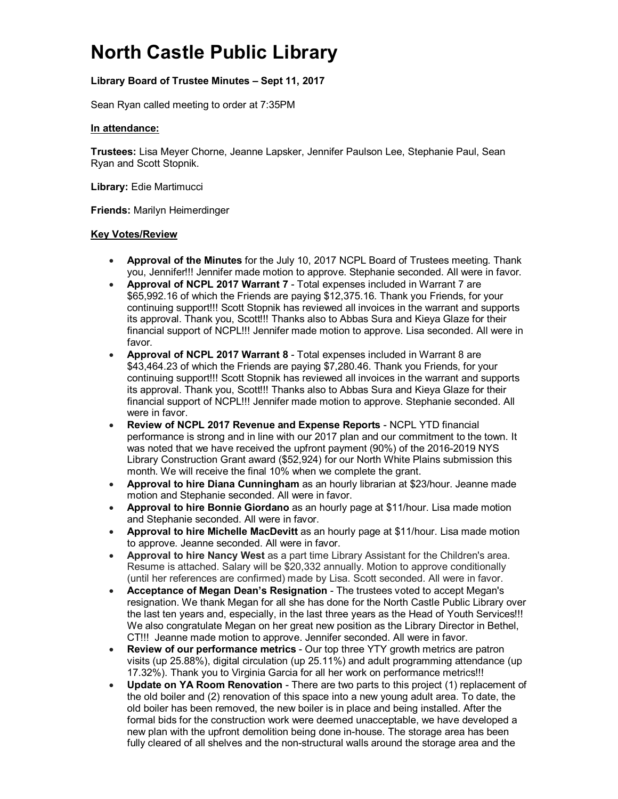# **North Castle Public Library**

## **Library Board of Trustee Minutes – Sept 11, 2017**

Sean Ryan called meeting to order at 7:35PM

#### **In attendance:**

**Trustees:** Lisa Meyer Chorne, Jeanne Lapsker, Jennifer Paulson Lee, Stephanie Paul, Sean Ryan and Scott Stopnik.

**Library:** Edie Martimucci

**Friends:** Marilyn Heimerdinger

#### **Key Votes/Review**

- **Approval of the Minutes** for the July 10, 2017 NCPL Board of Trustees meeting. Thank you, Jennifer!!! Jennifer made motion to approve. Stephanie seconded. All were in favor.
- **Approval of NCPL 2017 Warrant 7** Total expenses included in Warrant 7 are \$65,992.16 of which the Friends are paying \$12,375.16. Thank you Friends, for your continuing support!!! Scott Stopnik has reviewed all invoices in the warrant and supports its approval. Thank you, Scott!!! Thanks also to Abbas Sura and Kieya Glaze for their financial support of NCPL!!! Jennifer made motion to approve. Lisa seconded. All were in favor.
- **Approval of NCPL 2017 Warrant 8** Total expenses included in Warrant 8 are \$43,464.23 of which the Friends are paying \$7,280.46. Thank you Friends, for your continuing support!!! Scott Stopnik has reviewed all invoices in the warrant and supports its approval. Thank you, Scott!!! Thanks also to Abbas Sura and Kieya Glaze for their financial support of NCPL!!! Jennifer made motion to approve. Stephanie seconded. All were in favor.
- **Review of NCPL 2017 Revenue and Expense Reports** NCPL YTD financial performance is strong and in line with our 2017 plan and our commitment to the town. It was noted that we have received the upfront payment (90%) of the 2016-2019 NYS Library Construction Grant award (\$52,924) for our North White Plains submission this month. We will receive the final 10% when we complete the grant.
- **Approval to hire Diana Cunningham** as an hourly librarian at \$23/hour. Jeanne made motion and Stephanie seconded. All were in favor.
- **Approval to hire Bonnie Giordano** as an hourly page at \$11/hour. Lisa made motion and Stephanie seconded. All were in favor.
- **Approval to hire Michelle MacDevitt** as an hourly page at \$11/hour. Lisa made motion to approve. Jeanne seconded. All were in favor.
- **Approval to hire Nancy West** as a part time Library Assistant for the Children's area. Resume is attached. Salary will be \$20,332 annually. Motion to approve conditionally (until her references are confirmed) made by Lisa. Scott seconded. All were in favor.
- **Acceptance of Megan Dean's Resignation** The trustees voted to accept Megan's resignation. We thank Megan for all she has done for the North Castle Public Library over the last ten years and, especially, in the last three years as the Head of Youth Services!!! We also congratulate Megan on her great new position as the Library Director in Bethel, CT!!! Jeanne made motion to approve. Jennifer seconded. All were in favor.
- **Review of our performance metrics** Our top three YTY growth metrics are patron visits (up 25.88%), digital circulation (up 25.11%) and adult programming attendance (up 17.32%). Thank you to Virginia Garcia for all her work on performance metrics!!!
- **Update on YA Room Renovation** There are two parts to this project (1) replacement of the old boiler and (2) renovation of this space into a new young adult area. To date, the old boiler has been removed, the new boiler is in place and being installed. After the formal bids for the construction work were deemed unacceptable, we have developed a new plan with the upfront demolition being done in-house. The storage area has been fully cleared of all shelves and the non-structural walls around the storage area and the